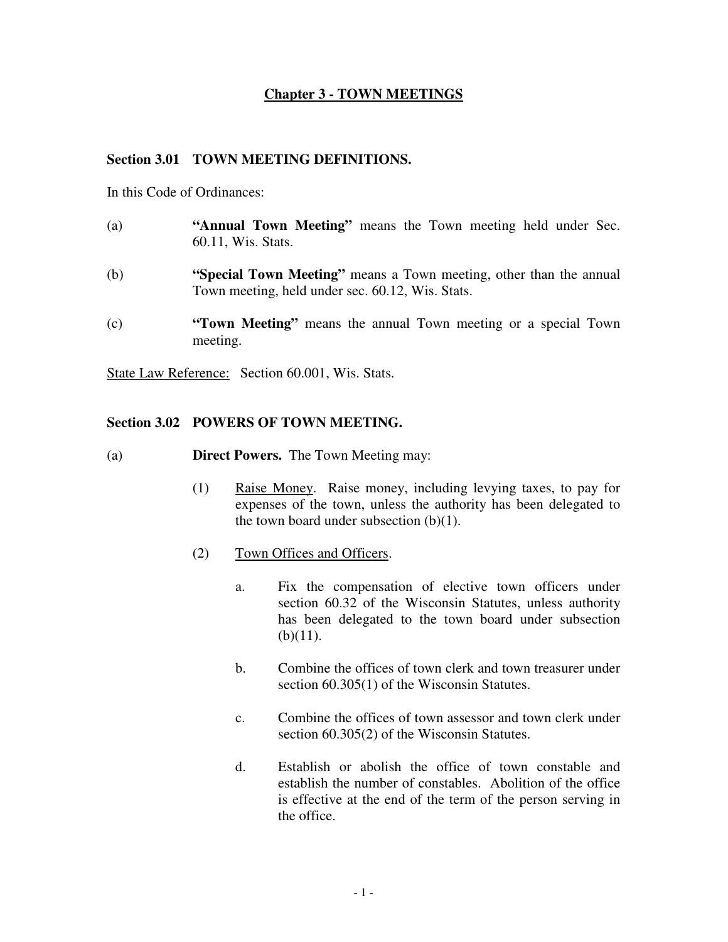# **Chapter 3 - TOWN MEETINGS**

#### **Section 3.01 TOWN MEETING DEFINITIONS.**

In this Code of Ordinances:

- (a) **"Annual Town Meeting"** means the Town meeting held under Sec. 60.11, Wis. Stats.
- (b) **"Special Town Meeting"** means a Town meeting, other than the annual Town meeting, held under sec. 60.12, Wis. Stats.
- (c) **"Town Meeting"** means the annual Town meeting or a special Town meeting.

State Law Reference: Section 60.001, Wis. Stats.

#### **Section 3.02 POWERS OF TOWN MEETING.**

- (a) **Direct Powers.** The Town Meeting may:
	- (1) Raise Money. Raise money, including levying taxes, to pay for expenses of the town, unless the authority has been delegated to the town board under subsection  $(b)(1)$ .
	- (2) Town Offices and Officers.
		- a. Fix the compensation of elective town officers under section 60.32 of the Wisconsin Statutes, unless authority has been delegated to the town board under subsection  $(b)(11)$ .
		- b. Combine the offices of town clerk and town treasurer under section 60.305(1) of the Wisconsin Statutes.
		- c. Combine the offices of town assessor and town clerk under section 60.305(2) of the Wisconsin Statutes.
		- d. Establish or abolish the office of town constable and establish the number of constables. Abolition of the office is effective at the end of the term of the person serving in the office.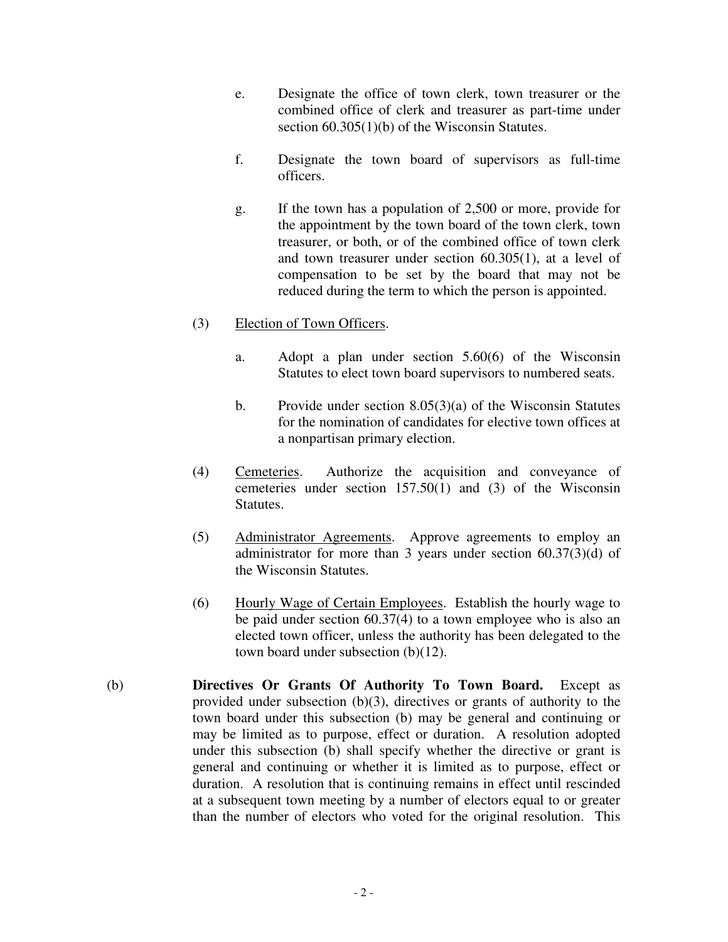- e. Designate the office of town clerk, town treasurer or the combined office of clerk and treasurer as part-time under section 60.305(1)(b) of the Wisconsin Statutes.
- f. Designate the town board of supervisors as full-time officers.
- g. If the town has a population of 2,500 or more, provide for the appointment by the town board of the town clerk, town treasurer, or both, or of the combined office of town clerk and town treasurer under section 60.305(1), at a level of compensation to be set by the board that may not be reduced during the term to which the person is appointed.

# (3) Election of Town Officers.

- a. Adopt a plan under section 5.60(6) of the Wisconsin Statutes to elect town board supervisors to numbered seats.
- b. Provide under section 8.05(3)(a) of the Wisconsin Statutes for the nomination of candidates for elective town offices at a nonpartisan primary election.
- (4) Cemeteries. Authorize the acquisition and conveyance of cemeteries under section 157.50(1) and (3) of the Wisconsin Statutes.
- (5) Administrator Agreements. Approve agreements to employ an administrator for more than 3 years under section 60.37(3)(d) of the Wisconsin Statutes.
- (6) Hourly Wage of Certain Employees. Establish the hourly wage to be paid under section 60.37(4) to a town employee who is also an elected town officer, unless the authority has been delegated to the town board under subsection (b)(12).
- (b) **Directives Or Grants Of Authority To Town Board.** Except as provided under subsection (b)(3), directives or grants of authority to the town board under this subsection (b) may be general and continuing or may be limited as to purpose, effect or duration. A resolution adopted under this subsection (b) shall specify whether the directive or grant is general and continuing or whether it is limited as to purpose, effect or duration. A resolution that is continuing remains in effect until rescinded at a subsequent town meeting by a number of electors equal to or greater than the number of electors who voted for the original resolution. This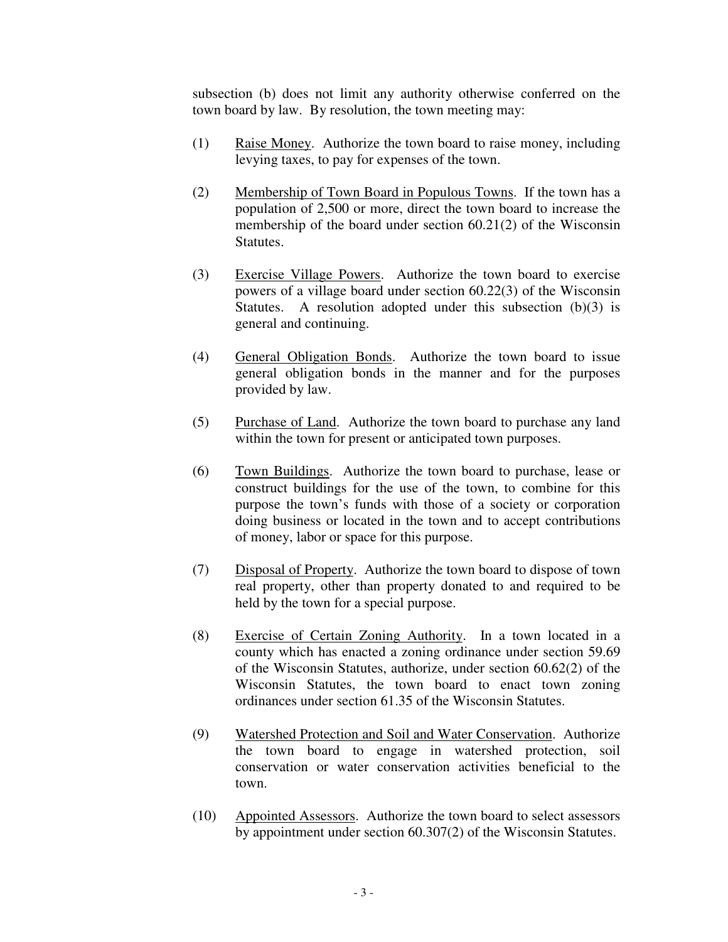subsection (b) does not limit any authority otherwise conferred on the town board by law. By resolution, the town meeting may:

- (1) Raise Money. Authorize the town board to raise money, including levying taxes, to pay for expenses of the town.
- (2) Membership of Town Board in Populous Towns. If the town has a population of 2,500 or more, direct the town board to increase the membership of the board under section 60.21(2) of the Wisconsin Statutes.
- (3) Exercise Village Powers. Authorize the town board to exercise powers of a village board under section 60.22(3) of the Wisconsin Statutes. A resolution adopted under this subsection (b)(3) is general and continuing.
- (4) General Obligation Bonds. Authorize the town board to issue general obligation bonds in the manner and for the purposes provided by law.
- (5) Purchase of Land. Authorize the town board to purchase any land within the town for present or anticipated town purposes.
- (6) Town Buildings. Authorize the town board to purchase, lease or construct buildings for the use of the town, to combine for this purpose the town's funds with those of a society or corporation doing business or located in the town and to accept contributions of money, labor or space for this purpose.
- (7) Disposal of Property. Authorize the town board to dispose of town real property, other than property donated to and required to be held by the town for a special purpose.
- (8) Exercise of Certain Zoning Authority. In a town located in a county which has enacted a zoning ordinance under section 59.69 of the Wisconsin Statutes, authorize, under section 60.62(2) of the Wisconsin Statutes, the town board to enact town zoning ordinances under section 61.35 of the Wisconsin Statutes.
- (9) Watershed Protection and Soil and Water Conservation. Authorize the town board to engage in watershed protection, soil conservation or water conservation activities beneficial to the town.
- (10) Appointed Assessors. Authorize the town board to select assessors by appointment under section 60.307(2) of the Wisconsin Statutes.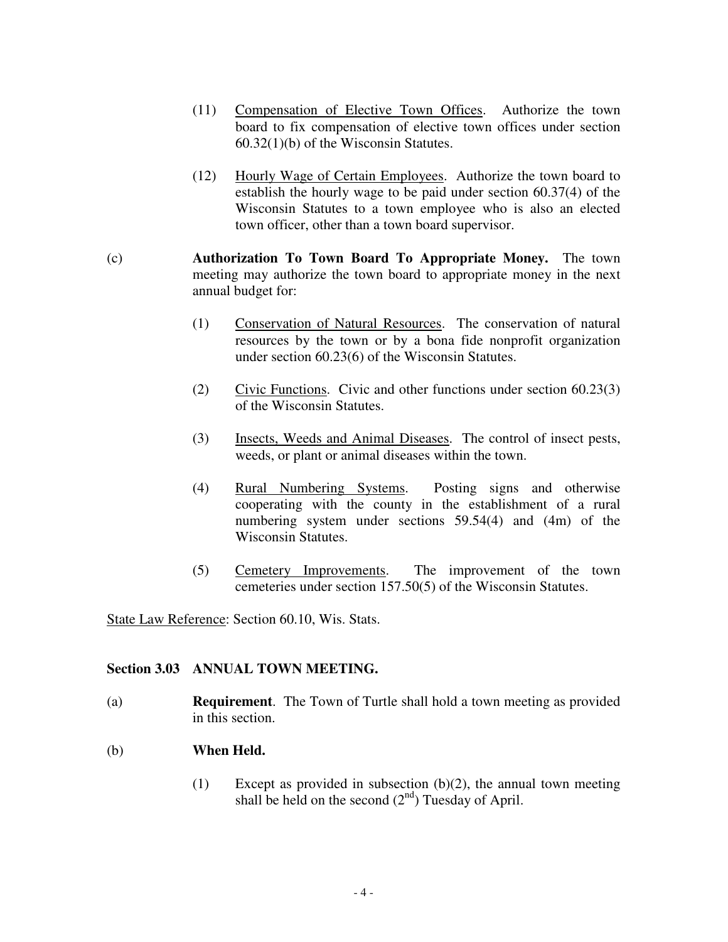- (11) Compensation of Elective Town Offices. Authorize the town board to fix compensation of elective town offices under section 60.32(1)(b) of the Wisconsin Statutes.
- (12) Hourly Wage of Certain Employees. Authorize the town board to establish the hourly wage to be paid under section 60.37(4) of the Wisconsin Statutes to a town employee who is also an elected town officer, other than a town board supervisor.
- (c) **Authorization To Town Board To Appropriate Money.** The town meeting may authorize the town board to appropriate money in the next annual budget for:
	- (1) Conservation of Natural Resources. The conservation of natural resources by the town or by a bona fide nonprofit organization under section 60.23(6) of the Wisconsin Statutes.
	- (2) Civic Functions. Civic and other functions under section 60.23(3) of the Wisconsin Statutes.
	- (3) Insects, Weeds and Animal Diseases. The control of insect pests, weeds, or plant or animal diseases within the town.
	- (4) Rural Numbering Systems. Posting signs and otherwise cooperating with the county in the establishment of a rural numbering system under sections 59.54(4) and (4m) of the Wisconsin Statutes.
	- (5) Cemetery Improvements. The improvement of the town cemeteries under section 157.50(5) of the Wisconsin Statutes.

State Law Reference: Section 60.10, Wis. Stats.

# **Section 3.03 ANNUAL TOWN MEETING.**

(a) **Requirement**. The Town of Turtle shall hold a town meeting as provided in this section.

# (b) **When Held.**

(1) Except as provided in subsection  $(b)(2)$ , the annual town meeting shall be held on the second  $(2<sup>nd</sup>)$  Tuesday of April.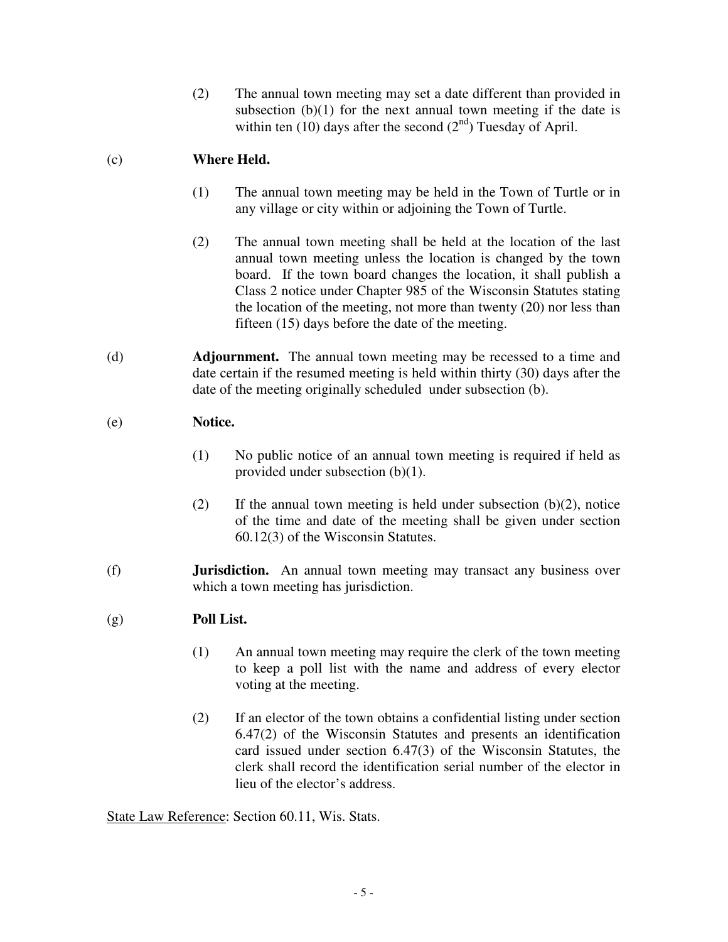(2) The annual town meeting may set a date different than provided in subsection  $(b)(1)$  for the next annual town meeting if the date is within ten  $(10)$  days after the second  $(2<sup>nd</sup>)$  Tuesday of April.

# (c) **Where Held.**

- (1) The annual town meeting may be held in the Town of Turtle or in any village or city within or adjoining the Town of Turtle.
- (2) The annual town meeting shall be held at the location of the last annual town meeting unless the location is changed by the town board. If the town board changes the location, it shall publish a Class 2 notice under Chapter 985 of the Wisconsin Statutes stating the location of the meeting, not more than twenty (20) nor less than fifteen (15) days before the date of the meeting.
- (d) **Adjournment.** The annual town meeting may be recessed to a time and date certain if the resumed meeting is held within thirty (30) days after the date of the meeting originally scheduled under subsection (b).

# (e) **Notice.**

- (1) No public notice of an annual town meeting is required if held as provided under subsection (b)(1).
- (2) If the annual town meeting is held under subsection  $(b)(2)$ , notice of the time and date of the meeting shall be given under section 60.12(3) of the Wisconsin Statutes.
- (f) **Jurisdiction.** An annual town meeting may transact any business over which a town meeting has jurisdiction.

# (g) **Poll List.**

- (1) An annual town meeting may require the clerk of the town meeting to keep a poll list with the name and address of every elector voting at the meeting.
- (2) If an elector of the town obtains a confidential listing under section 6.47(2) of the Wisconsin Statutes and presents an identification card issued under section 6.47(3) of the Wisconsin Statutes, the clerk shall record the identification serial number of the elector in lieu of the elector's address.

State Law Reference: Section 60.11, Wis. Stats.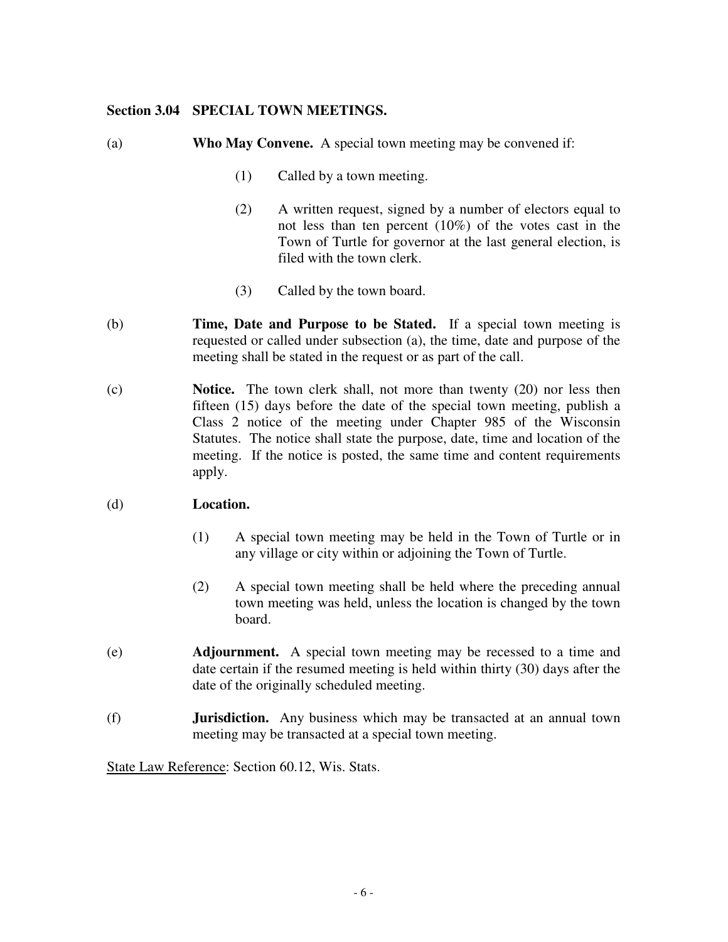### **Section 3.04 SPECIAL TOWN MEETINGS.**

- (a) **Who May Convene.** A special town meeting may be convened if:
	- (1) Called by a town meeting.
	- (2) A written request, signed by a number of electors equal to not less than ten percent (10%) of the votes cast in the Town of Turtle for governor at the last general election, is filed with the town clerk.
	- (3) Called by the town board.
- (b) **Time, Date and Purpose to be Stated.** If a special town meeting is requested or called under subsection (a), the time, date and purpose of the meeting shall be stated in the request or as part of the call.
- (c) **Notice.** The town clerk shall, not more than twenty (20) nor less then fifteen (15) days before the date of the special town meeting, publish a Class 2 notice of the meeting under Chapter 985 of the Wisconsin Statutes. The notice shall state the purpose, date, time and location of the meeting. If the notice is posted, the same time and content requirements apply.

## (d) **Location.**

- (1) A special town meeting may be held in the Town of Turtle or in any village or city within or adjoining the Town of Turtle.
- (2) A special town meeting shall be held where the preceding annual town meeting was held, unless the location is changed by the town board.
- (e) **Adjournment.** A special town meeting may be recessed to a time and date certain if the resumed meeting is held within thirty (30) days after the date of the originally scheduled meeting.
- (f) **Jurisdiction.** Any business which may be transacted at an annual town meeting may be transacted at a special town meeting.

State Law Reference: Section 60.12, Wis. Stats.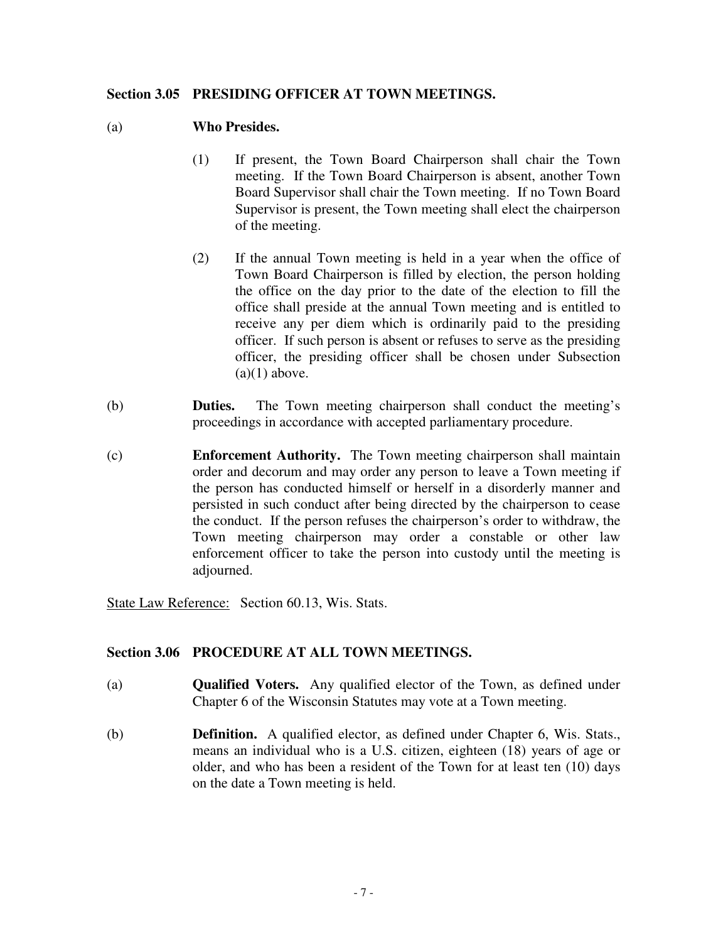## **Section 3.05 PRESIDING OFFICER AT TOWN MEETINGS.**

### (a) **Who Presides.**

- (1) If present, the Town Board Chairperson shall chair the Town meeting. If the Town Board Chairperson is absent, another Town Board Supervisor shall chair the Town meeting. If no Town Board Supervisor is present, the Town meeting shall elect the chairperson of the meeting.
- (2) If the annual Town meeting is held in a year when the office of Town Board Chairperson is filled by election, the person holding the office on the day prior to the date of the election to fill the office shall preside at the annual Town meeting and is entitled to receive any per diem which is ordinarily paid to the presiding officer. If such person is absent or refuses to serve as the presiding officer, the presiding officer shall be chosen under Subsection  $(a)(1)$  above.
- (b) **Duties.** The Town meeting chairperson shall conduct the meeting's proceedings in accordance with accepted parliamentary procedure.
- (c) **Enforcement Authority.** The Town meeting chairperson shall maintain order and decorum and may order any person to leave a Town meeting if the person has conducted himself or herself in a disorderly manner and persisted in such conduct after being directed by the chairperson to cease the conduct. If the person refuses the chairperson's order to withdraw, the Town meeting chairperson may order a constable or other law enforcement officer to take the person into custody until the meeting is adjourned.

State Law Reference: Section 60.13, Wis. Stats.

## **Section 3.06 PROCEDURE AT ALL TOWN MEETINGS.**

- (a) **Qualified Voters.** Any qualified elector of the Town, as defined under Chapter 6 of the Wisconsin Statutes may vote at a Town meeting.
- (b) **Definition.** A qualified elector, as defined under Chapter 6, Wis. Stats., means an individual who is a U.S. citizen, eighteen (18) years of age or older, and who has been a resident of the Town for at least ten (10) days on the date a Town meeting is held.